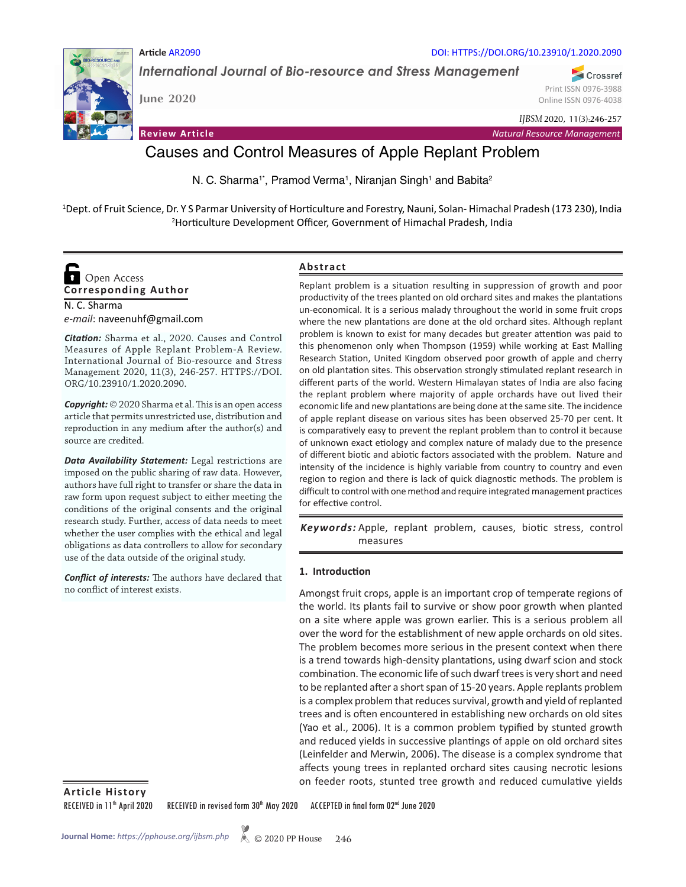

**Article** AR2090

*International Journal of Bio-resource and Stress Management*

**June 2020**

Crossref Print ISSN 0976-3988 Online ISSN 0976-4038

**Review Article** *Natural Resource Management*

*IJBSM* 2020, 11(3):246-257

DOI: HTTPS://DOI.ORG/10.23910/1.2020.2090

# Causes and Control Measures of Apple Replant Problem

N. C. Sharma<sup>1\*</sup>, Pramod Verma<sup>1</sup>, Niranjan Singh<sup>1</sup> and Babita<sup>2</sup>

<sup>1</sup>Dept. of Fruit Science, Dr. Y S Parmar University of Horticulture and Forestry, Nauni, Solan-Himachal Pradesh (173 230), India 2009, India 2009, India 2009, India 2009, India 2009, India 2009, India 2009, India 2009, In Horticulture Development Officer, Government of Himachal Pradesh, India



N. C. Sharma *e-mail*: naveenuhf@gmail.com

*Citation:* Sharma et al., 2020. Causes and Control Measures of Apple Replant Problem-A Review. International Journal of Bio-resource and Stress Management 2020, 11(3), 246-257. HTTPS://DOI. ORG/10.23910/1.2020.2090.

*Copyright:* © 2020 Sharma et al. This is an open access article that permits unrestricted use, distribution and reproduction in any medium after the author(s) and source are credited.

*Data Availability Statement:* Legal restrictions are imposed on the public sharing of raw data. However, authors have full right to transfer or share the data in raw form upon request subject to either meeting the conditions of the original consents and the original research study. Further, access of data needs to meet whether the user complies with the ethical and legal obligations as data controllers to allow for secondary use of the data outside of the original study.

*Conflict of interests:* The authors have declared that no conflict of interest exists.

#### **Abstract**

Replant problem is a situation resulting in suppression of growth and poor productivity of the trees planted on old orchard sites and makes the plantations un-economical. It is a serious malady throughout the world in some fruit crops where the new plantations are done at the old orchard sites. Although replant problem is known to exist for many decades but greater attention was paid to this phenomenon only when Thompson (1959) while working at East Malling Research Station, United Kingdom observed poor growth of apple and cherry on old plantation sites. This observation strongly stimulated replant research in different parts of the world. Western Himalayan states of India are also facing the replant problem where majority of apple orchards have out lived their economic life and new plantations are being done at the same site. The incidence of apple replant disease on various sites has been observed 25-70 per cent. It is comparatively easy to prevent the replant problem than to control it because of unknown exact etiology and complex nature of malady due to the presence of different biotic and abiotic factors associated with the problem. Nature and intensity of the incidence is highly variable from country to country and even region to region and there is lack of quick diagnostic methods. The problem is difficult to control with one method and require integrated management practices for effective control.

Keywords: Apple, replant problem, causes, biotic stress, control measures

#### **1. Introduction**

Amongst fruit crops, apple is an important crop of temperate regions of the world. Its plants fail to survive or show poor growth when planted on a site where apple was grown earlier. This is a serious problem all over the word for the establishment of new apple orchards on old sites. The problem becomes more serious in the present context when there is a trend towards high-density plantations, using dwarf scion and stock combination. The economic life of such dwarf trees is very short and need to be replanted after a short span of 15-20 years. Apple replants problem is a complex problem that reduces survival, growth and yield of replanted trees and is often encountered in establishing new orchards on old sites (Yao et al., 2006). It is a common problem typified by stunted growth and reduced yields in successive plantings of apple on old orchard sites (Leinfelder and Merwin, 2006). The disease is a complex syndrome that affects young trees in replanted orchard sites causing necrotic lesions on feeder roots, stunted tree growth and reduced cumulative yields

**Article History**

RECEIVED in 11<sup>th</sup> April 2020 RECEIVED in revised form 30<sup>th</sup> May 2020 ACCEPTED in final form 02<sup>nd</sup> June 2020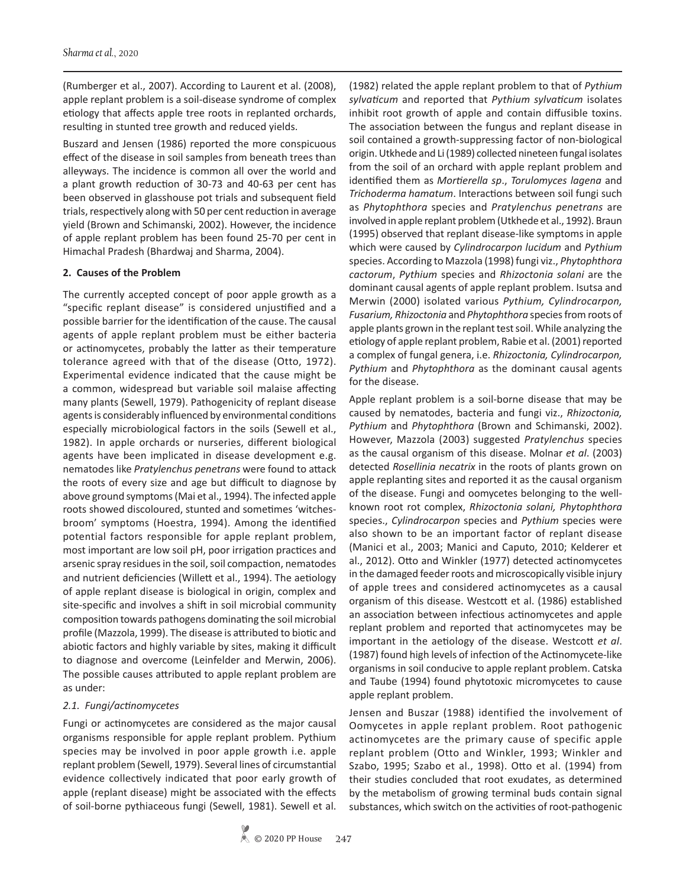(Rumberger et al., 2007). According to Laurent et al. (2008), apple replant problem is a soil-disease syndrome of complex etiology that affects apple tree roots in replanted orchards, resulting in stunted tree growth and reduced yields.

Buszard and Jensen (1986) reported the more conspicuous effect of the disease in soil samples from beneath trees than alleyways. The incidence is common all over the world and a plant growth reduction of 30-73 and 40-63 per cent has been observed in glasshouse pot trials and subsequent field trials, respectively along with 50 per cent reduction in average yield (Brown and Schimanski, 2002). However, the incidence of apple replant problem has been found 25-70 per cent in Himachal Pradesh (Bhardwaj and Sharma, 2004).

#### **2. Causes of the Problem**

The currently accepted concept of poor apple growth as a "specific replant disease" is considered unjustified and a possible barrier for the identification of the cause. The causal agents of apple replant problem must be either bacteria or actinomycetes, probably the latter as their temperature tolerance agreed with that of the disease (Otto, 1972). Experimental evidence indicated that the cause might be a common, widespread but variable soil malaise affecting many plants (Sewell, 1979). Pathogenicity of replant disease agents is considerably influenced by environmental conditions especially microbiological factors in the soils (Sewell et al., 1982). In apple orchards or nurseries, different biological agents have been implicated in disease development e.g. nematodes like *Pratylenchus penetrans* were found to attack the roots of every size and age but difficult to diagnose by above ground symptoms (Mai et al., 1994). The infected apple roots showed discoloured, stunted and sometimes 'witchesbroom' symptoms (Hoestra, 1994). Among the identified potential factors responsible for apple replant problem, most important are low soil pH, poor irrigation practices and arsenic spray residues in the soil, soil compaction, nematodes and nutrient deficiencies (Willett et al., 1994). The aetiology of apple replant disease is biological in origin, complex and site-specific and involves a shift in soil microbial community composition towards pathogens dominating the soil microbial profile (Mazzola, 1999). The disease is attributed to biotic and abiotic factors and highly variable by sites, making it difficult to diagnose and overcome (Leinfelder and Merwin, 2006). The possible causes attributed to apple replant problem are as under:

## *2.1. Fungi/actinomycetes*

Fungi or actinomycetes are considered as the major causal organisms responsible for apple replant problem. Pythium species may be involved in poor apple growth i.e. apple replant problem (Sewell, 1979). Several lines of circumstantial evidence collectively indicated that poor early growth of apple (replant disease) might be associated with the effects of soil-borne pythiaceous fungi (Sewell, 1981). Sewell et al.

(1982) related the apple replant problem to that of *Pythium sylvaticum* and reported that *Pythium sylvaticum* isolates inhibit root growth of apple and contain diffusible toxins. The association between the fungus and replant disease in soil contained a growth-suppressing factor of non-biological origin. Utkhede and Li (1989) collected nineteen fungal isolates from the soil of an orchard with apple replant problem and identified them as *Mortierella sp*., *Torulomyces lagena* and *Trichoderma hamatum*. Interactions between soil fungi such as *Phytophthora* species and *Pratylenchus penetrans* are involved in apple replant problem (Utkhede et al., 1992). Braun (1995) observed that replant disease-like symptoms in apple which were caused by *Cylindrocarpon lucidum* and *Pythium* species. According to Mazzola (1998) fungi viz., *Phytophthora cactorum*, *Pythium* species and *Rhizoctonia solani* are the dominant causal agents of apple replant problem. Isutsa and Merwin (2000) isolated various *Pythium, Cylindrocarpon, Fusarium, Rhizoctonia* and *Phytophthora* species from roots of apple plants grown in the replant test soil. While analyzing the etiology of apple replant problem, Rabie et al. (2001) reported a complex of fungal genera, i.e. *Rhizoctonia, Cylindrocarpon, Pythium* and *Phytophthora* as the dominant causal agents for the disease.

Apple replant problem is a soil-borne disease that may be caused by nematodes, bacteria and fungi viz., *Rhizoctonia, Pythium* and *Phytophthora* (Brown and Schimanski, 2002). However, Mazzola (2003) suggested *Pratylenchus* species as the causal organism of this disease. Molnar *et al*. (2003) detected *Rosellinia necatrix* in the roots of plants grown on apple replanting sites and reported it as the causal organism of the disease. Fungi and oomycetes belonging to the wellknown root rot complex, *Rhizoctonia solani, Phytophthora* species., *Cylindrocarpon* species and *Pythium* species were also shown to be an important factor of replant disease (Manici et al., 2003; Manici and Caputo, 2010; Kelderer et al., 2012). Otto and Winkler (1977) detected actinomycetes in the damaged feeder roots and microscopically visible injury of apple trees and considered actinomycetes as a causal organism of this disease. Westcott et al. (1986) established an association between infectious actinomycetes and apple replant problem and reported that actinomycetes may be important in the aetiology of the disease. Westcott *et al*. (1987) found high levels of infection of the Actinomycete-like organisms in soil conducive to apple replant problem. Catska and Taube (1994) found phytotoxic micromycetes to cause apple replant problem.

Jensen and Buszar (1988) identified the involvement of Oomycetes in apple replant problem. Root pathogenic actinomycetes are the primary cause of specific apple replant problem (Otto and Winkler, 1993; Winkler and Szabo, 1995; Szabo et al., 1998). Otto et al. (1994) from their studies concluded that root exudates, as determined by the metabolism of growing terminal buds contain signal substances, which switch on the activities of root-pathogenic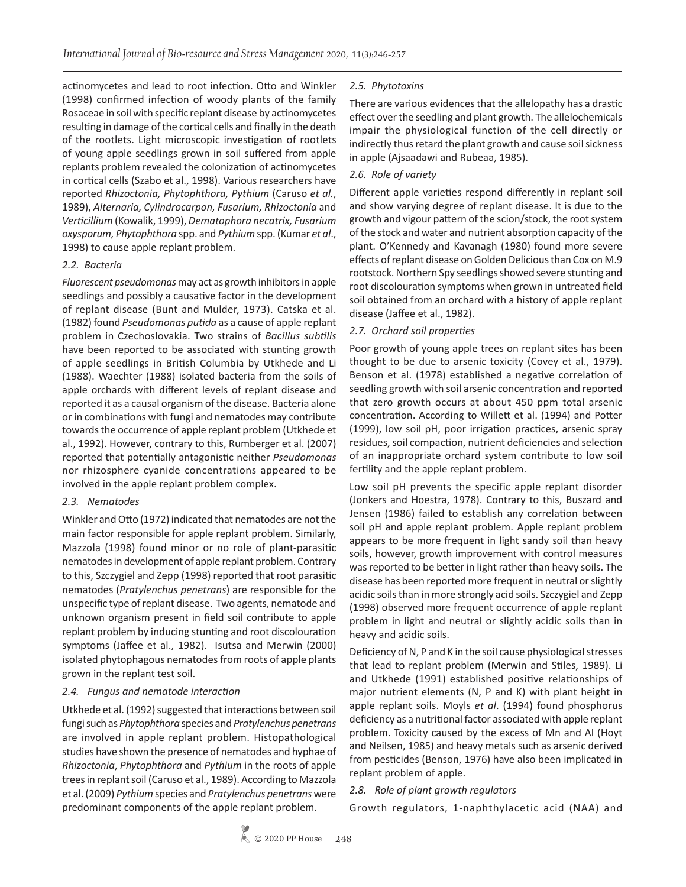actinomycetes and lead to root infection. Otto and Winkler (1998) confirmed infection of woody plants of the family Rosaceae in soil with specific replant disease by actinomycetes resulting in damage of the cortical cells and finally in the death of the rootlets. Light microscopic investigation of rootlets of young apple seedlings grown in soil suffered from apple replants problem revealed the colonization of actinomycetes in cortical cells (Szabo et al., 1998). Various researchers have reported *Rhizoctonia, Phytophthora, Pythium* (Caruso *et al.*, 1989), *Alternaria, Cylindrocarpon, Fusarium, Rhizoctonia* and *Verticillium* (Kowalik, 1999), *Dematophora necatrix, Fusarium oxysporum, Phytophthora* spp. and *Pythium* spp. (Kumar *et al*., 1998) to cause apple replant problem.

# *2.2. Bacteria*

*Fluorescent pseudomonas* may act as growth inhibitors in apple seedlings and possibly a causative factor in the development of replant disease (Bunt and Mulder, 1973). Catska et al. (1982) found *Pseudomonas putida* as a cause of apple replant problem in Czechoslovakia. Two strains of *Bacillus subtilis* have been reported to be associated with stunting growth of apple seedlings in British Columbia by Utkhede and Li (1988). Waechter (1988) isolated bacteria from the soils of apple orchards with different levels of replant disease and reported it as a causal organism of the disease. Bacteria alone or in combinations with fungi and nematodes may contribute towards the occurrence of apple replant problem (Utkhede et al., 1992). However, contrary to this, Rumberger et al. (2007) reported that potentially antagonistic neither *Pseudomonas* nor rhizosphere cyanide concentrations appeared to be involved in the apple replant problem complex.

# *2.3. Nematodes*

Winkler and Otto (1972) indicated that nematodes are not the main factor responsible for apple replant problem. Similarly, Mazzola (1998) found minor or no role of plant-parasitic nematodes in development of apple replant problem. Contrary to this, Szczygiel and Zepp (1998) reported that root parasitic nematodes (*Pratylenchus penetrans*) are responsible for the unspecific type of replant disease. Two agents, nematode and unknown organism present in field soil contribute to apple replant problem by inducing stunting and root discolouration symptoms (Jaffee et al., 1982). Isutsa and Merwin (2000) isolated phytophagous nematodes from roots of apple plants grown in the replant test soil.

## *2.4. Fungus and nematode interaction*

Utkhede et al. (1992) suggested that interactions between soil fungi such as *Phytophthora* species and *Pratylenchus penetrans* are involved in apple replant problem. Histopathological studies have shown the presence of nematodes and hyphae of *Rhizoctonia*, *Phytophthora* and *Pythium* in the roots of apple trees in replant soil (Caruso et al., 1989). According to Mazzola et al. (2009) *Pythium* species and *Pratylenchus penetrans* were predominant components of the apple replant problem.

# *2.5. Phytotoxins*

There are various evidences that the allelopathy has a drastic effect over the seedling and plant growth. The allelochemicals impair the physiological function of the cell directly or indirectly thus retard the plant growth and cause soil sickness in apple (Ajsaadawi and Rubeaa, 1985).

# *2.6. Role of variety*

Different apple varieties respond differently in replant soil and show varying degree of replant disease. It is due to the growth and vigour pattern of the scion/stock, the root system of the stock and water and nutrient absorption capacity of the plant. O'Kennedy and Kavanagh (1980) found more severe effects of replant disease on Golden Delicious than Cox on M.9 rootstock. Northern Spy seedlings showed severe stunting and root discolouration symptoms when grown in untreated field soil obtained from an orchard with a history of apple replant disease (Jaffee et al., 1982).

# *2.7. Orchard soil properties*

Poor growth of young apple trees on replant sites has been thought to be due to arsenic toxicity (Covey et al., 1979). Benson et al. (1978) established a negative correlation of seedling growth with soil arsenic concentration and reported that zero growth occurs at about 450 ppm total arsenic concentration. According to Willett et al. (1994) and Potter (1999), low soil pH, poor irrigation practices, arsenic spray residues, soil compaction, nutrient deficiencies and selection of an inappropriate orchard system contribute to low soil fertility and the apple replant problem.

Low soil pH prevents the specific apple replant disorder (Jonkers and Hoestra, 1978). Contrary to this, Buszard and Jensen (1986) failed to establish any correlation between soil pH and apple replant problem. Apple replant problem appears to be more frequent in light sandy soil than heavy soils, however, growth improvement with control measures was reported to be better in light rather than heavy soils. The disease has been reported more frequent in neutral or slightly acidic soils than in more strongly acid soils. Szczygiel and Zepp (1998) observed more frequent occurrence of apple replant problem in light and neutral or slightly acidic soils than in heavy and acidic soils.

Deficiency of N, P and K in the soil cause physiological stresses that lead to replant problem (Merwin and Stiles, 1989). Li and Utkhede (1991) established positive relationships of major nutrient elements (N, P and K) with plant height in apple replant soils. Moyls *et al*. (1994) found phosphorus deficiency as a nutritional factor associated with apple replant problem. Toxicity caused by the excess of Mn and Al (Hoyt and Neilsen, 1985) and heavy metals such as arsenic derived from pesticides (Benson, 1976) have also been implicated in replant problem of apple.

# *2.8. Role of plant growth regulators*

Growth regulators, 1-naphthylacetic acid (NAA) and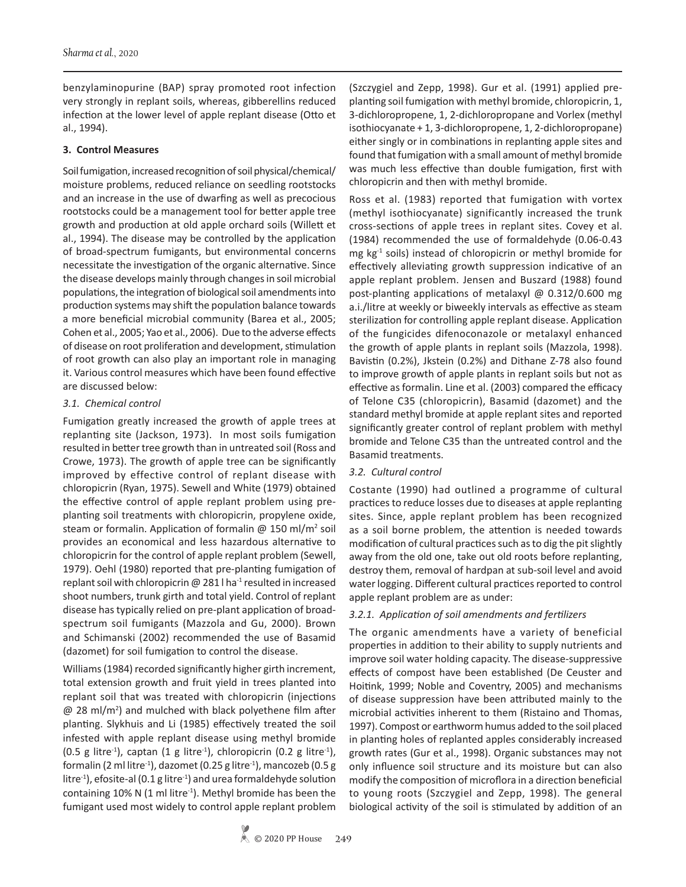benzylaminopurine (BAP) spray promoted root infection very strongly in replant soils, whereas, gibberellins reduced infection at the lower level of apple replant disease (Otto et al., 1994).

## **3. Control Measures**

Soil fumigation, increased recognition of soil physical/chemical/ moisture problems, reduced reliance on seedling rootstocks and an increase in the use of dwarfing as well as precocious rootstocks could be a management tool for better apple tree growth and production at old apple orchard soils (Willett et al., 1994). The disease may be controlled by the application of broad-spectrum fumigants, but environmental concerns necessitate the investigation of the organic alternative. Since the disease develops mainly through changes in soil microbial populations, the integration of biological soil amendments into production systems may shift the population balance towards a more beneficial microbial community (Barea et al., 2005; Cohen et al., 2005; Yao et al., 2006). Due to the adverse effects of disease on root proliferation and development, stimulation of root growth can also play an important role in managing it. Various control measures which have been found effective are discussed below:

# *3.1. Chemical control*

Fumigation greatly increased the growth of apple trees at replanting site (Jackson, 1973). In most soils fumigation resulted in better tree growth than in untreated soil (Ross and Crowe, 1973). The growth of apple tree can be significantly improved by effective control of replant disease with chloropicrin (Ryan, 1975). Sewell and White (1979) obtained the effective control of apple replant problem using preplanting soil treatments with chloropicrin, propylene oxide, steam or formalin. Application of formalin  $\omega$  150 ml/m<sup>2</sup> soil provides an economical and less hazardous alternative to chloropicrin for the control of apple replant problem (Sewell, 1979). Oehl (1980) reported that pre-planting fumigation of replant soil with chloropicrin  $\omega$  281 l ha<sup>-1</sup> resulted in increased shoot numbers, trunk girth and total yield. Control of replant disease has typically relied on pre-plant application of broadspectrum soil fumigants (Mazzola and Gu, 2000). Brown and Schimanski (2002) recommended the use of Basamid (dazomet) for soil fumigation to control the disease.

Williams (1984) recorded significantly higher girth increment, total extension growth and fruit yield in trees planted into replant soil that was treated with chloropicrin (injections @ 28 ml/m2 ) and mulched with black polyethene film after planting. Slykhuis and Li (1985) effectively treated the soil infested with apple replant disease using methyl bromide (0.5 g litre<sup>-1</sup>), captan (1 g litre<sup>-1</sup>), chloropicrin (0.2 g litre<sup>-1</sup>), formalin (2 ml litre<sup>-1</sup>), dazomet (0.25 g litre<sup>-1</sup>), mancozeb (0.5 g litre<sup>-1</sup>), efosite-al (0.1 g litre<sup>-1</sup>) and urea formaldehyde solution containing 10% N (1 ml litre $^{-1}$ ). Methyl bromide has been the fumigant used most widely to control apple replant problem

(Szczygiel and Zepp, 1998). Gur et al. (1991) applied preplanting soil fumigation with methyl bromide, chloropicrin, 1, 3-dichloropropene, 1, 2-dichloropropane and Vorlex (methyl isothiocyanate + 1, 3-dichloropropene, 1, 2-dichloropropane) either singly or in combinations in replanting apple sites and found that fumigation with a small amount of methyl bromide was much less effective than double fumigation, first with chloropicrin and then with methyl bromide.

Ross et al. (1983) reported that fumigation with vortex (methyl isothiocyanate) significantly increased the trunk cross-sections of apple trees in replant sites. Covey et al. (1984) recommended the use of formaldehyde (0.06-0.43 mg  $kg<sup>-1</sup>$  soils) instead of chloropicrin or methyl bromide for effectively alleviating growth suppression indicative of an apple replant problem. Jensen and Buszard (1988) found post-planting applications of metalaxyl @ 0.312/0.600 mg a.i./litre at weekly or biweekly intervals as effective as steam sterilization for controlling apple replant disease. Application of the fungicides difenoconazole or metalaxyl enhanced the growth of apple plants in replant soils (Mazzola, 1998). Bavistin (0.2%), Jkstein (0.2%) and Dithane Z-78 also found to improve growth of apple plants in replant soils but not as effective as formalin. Line et al. (2003) compared the efficacy of Telone C35 (chloropicrin), Basamid (dazomet) and the standard methyl bromide at apple replant sites and reported significantly greater control of replant problem with methyl bromide and Telone C35 than the untreated control and the Basamid treatments.

# *3.2. Cultural control*

Costante (1990) had outlined a programme of cultural practices to reduce losses due to diseases at apple replanting sites. Since, apple replant problem has been recognized as a soil borne problem, the attention is needed towards modification of cultural practices such as to dig the pit slightly away from the old one, take out old roots before replanting, destroy them, removal of hardpan at sub-soil level and avoid water logging. Different cultural practices reported to control apple replant problem are as under:

## *3.2.1. Application of soil amendments and fertilizers*

The organic amendments have a variety of beneficial properties in addition to their ability to supply nutrients and improve soil water holding capacity. The disease-suppressive effects of compost have been established (De Ceuster and Hoitink, 1999; Noble and Coventry, 2005) and mechanisms of disease suppression have been attributed mainly to the microbial activities inherent to them (Ristaino and Thomas, 1997). Compost or earthworm humus added to the soil placed in planting holes of replanted apples considerably increased growth rates (Gur et al., 1998). Organic substances may not only influence soil structure and its moisture but can also modify the composition of microflora in a direction beneficial to young roots (Szczygiel and Zepp, 1998). The general biological activity of the soil is stimulated by addition of an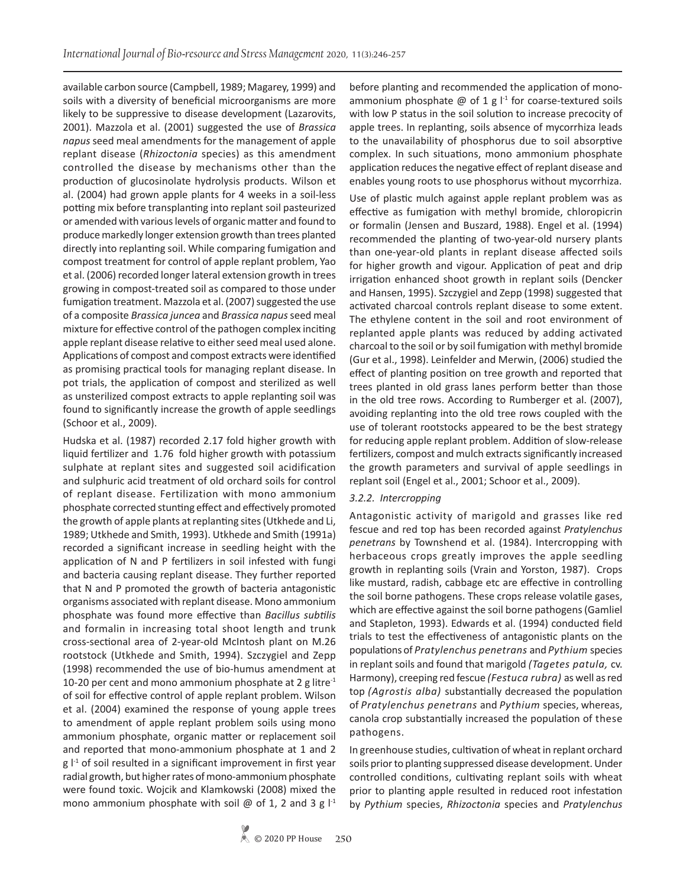available carbon source (Campbell, 1989; Magarey, 1999) and soils with a diversity of beneficial microorganisms are more likely to be suppressive to disease development (Lazarovits, 2001). Mazzola et al. (2001) suggested the use of *Brassica napus* seed meal amendments for the management of apple replant disease (*Rhizoctonia* species) as this amendment controlled the disease by mechanisms other than the production of glucosinolate hydrolysis products. Wilson et al. (2004) had grown apple plants for 4 weeks in a soil-less potting mix before transplanting into replant soil pasteurized or amended with various levels of organic matter and found to produce markedly longer extension growth than trees planted directly into replanting soil. While comparing fumigation and compost treatment for control of apple replant problem, Yao et al. (2006) recorded longer lateral extension growth in trees growing in compost-treated soil as compared to those under fumigation treatment. Mazzola et al. (2007) suggested the use of a composite *Brassica juncea* and *Brassica napus* seed meal mixture for effective control of the pathogen complex inciting apple replant disease relative to either seed meal used alone. Applications of compost and compost extracts were identified as promising practical tools for managing replant disease. In pot trials, the application of compost and sterilized as well as unsterilized compost extracts to apple replanting soil was found to significantly increase the growth of apple seedlings (Schoor et al., 2009).

Hudska et al. (1987) recorded 2.17 fold higher growth with liquid fertilizer and 1.76 fold higher growth with potassium sulphate at replant sites and suggested soil acidification and sulphuric acid treatment of old orchard soils for control of replant disease. Fertilization with mono ammonium phosphate corrected stunting effect and effectively promoted the growth of apple plants at replanting sites (Utkhede and Li, 1989; Utkhede and Smith, 1993). Utkhede and Smith (1991a) recorded a significant increase in seedling height with the application of N and P fertilizers in soil infested with fungi and bacteria causing replant disease. They further reported that N and P promoted the growth of bacteria antagonistic organisms associated with replant disease. Mono ammonium phosphate was found more effective than *Bacillus subtilis* and formalin in increasing total shoot length and trunk cross-sectional area of 2-year-old McIntosh plant on M.26 rootstock (Utkhede and Smith, 1994). Szczygiel and Zepp (1998) recommended the use of bio-humus amendment at 10-20 per cent and mono ammonium phosphate at 2 g litre<sup>-1</sup> of soil for effective control of apple replant problem. Wilson et al. (2004) examined the response of young apple trees to amendment of apple replant problem soils using mono ammonium phosphate, organic matter or replacement soil and reported that mono-ammonium phosphate at 1 and 2  $g \vert^{1}$  of soil resulted in a significant improvement in first year radial growth, but higher rates of mono-ammonium phosphate were found toxic. Wojcik and Klamkowski (2008) mixed the mono ammonium phosphate with soil  $\omega$  of 1, 2 and 3 g  $\mathsf{I}^{\text{-}1}$  before planting and recommended the application of monoammonium phosphate  $\varnothing$  of 1 g  $\vert$ <sup>1</sup> for coarse-textured soils with low P status in the soil solution to increase precocity of apple trees. In replanting, soils absence of mycorrhiza leads to the unavailability of phosphorus due to soil absorptive complex. In such situations, mono ammonium phosphate application reduces the negative effect of replant disease and enables young roots to use phosphorus without mycorrhiza.

Use of plastic mulch against apple replant problem was as effective as fumigation with methyl bromide, chloropicrin or formalin (Jensen and Buszard, 1988). Engel et al. (1994) recommended the planting of two-year-old nursery plants than one-year-old plants in replant disease affected soils for higher growth and vigour. Application of peat and drip irrigation enhanced shoot growth in replant soils (Dencker and Hansen, 1995). Szczygiel and Zepp (1998) suggested that activated charcoal controls replant disease to some extent. The ethylene content in the soil and root environment of replanted apple plants was reduced by adding activated charcoal to the soil or by soil fumigation with methyl bromide (Gur et al., 1998). Leinfelder and Merwin, (2006) studied the effect of planting position on tree growth and reported that trees planted in old grass lanes perform better than those in the old tree rows. According to Rumberger et al. (2007), avoiding replanting into the old tree rows coupled with the use of tolerant rootstocks appeared to be the best strategy for reducing apple replant problem. Addition of slow-release fertilizers, compost and mulch extracts significantly increased the growth parameters and survival of apple seedlings in replant soil (Engel et al., 2001; Schoor et al., 2009).

#### *3.2.2. Intercropping*

Antagonistic activity of marigold and grasses like red fescue and red top has been recorded against *Pratylenchus penetrans* by Townshend et al. (1984). Intercropping with herbaceous crops greatly improves the apple seedling growth in replanting soils (Vrain and Yorston, 1987). Crops like mustard, radish, cabbage etc are effective in controlling the soil borne pathogens. These crops release volatile gases, which are effective against the soil borne pathogens (Gamliel and Stapleton, 1993). Edwards et al. (1994) conducted field trials to test the effectiveness of antagonistic plants on the populations of *Pratylenchus penetrans* and *Pythium* species in replant soils and found that marigold *(Tagetes patula,* cv. Harmony), creeping red fescue *(Festuca rubra)* as well as red top *(Agrostis alba)* substantially decreased the population of *Pratylenchus penetrans* and *Pythium* species, whereas, canola crop substantially increased the population of these pathogens.

In greenhouse studies, cultivation of wheat in replant orchard soils prior to planting suppressed disease development. Under controlled conditions, cultivating replant soils with wheat prior to planting apple resulted in reduced root infestation by *Pythium* species, *Rhizoctonia* species and *Pratylenchus*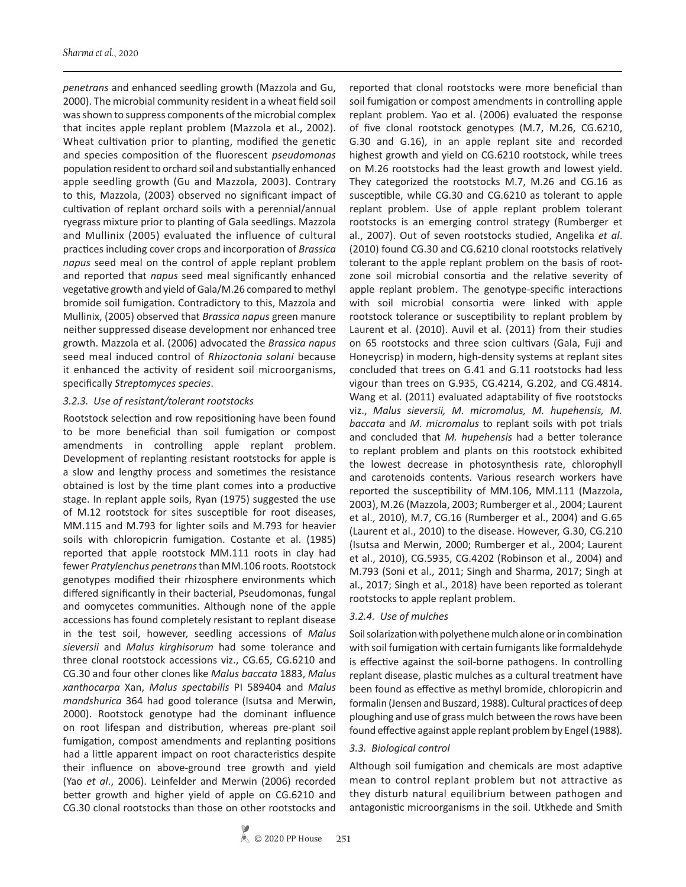*penetrans* and enhanced seedling growth (Mazzola and Gu, 2000). The microbial community resident in a wheat field soil was shown to suppress components of the microbial complex that incites apple replant problem (Mazzola et al., 2002). Wheat cultivation prior to planting, modified the genetic and species composition of the fluorescent *pseudomonas* population resident to orchard soil and substantially enhanced apple seedling growth (Gu and Mazzola, 2003). Contrary to this, Mazzola, (2003) observed no significant impact of cultivation of replant orchard soils with a perennial/annual ryegrass mixture prior to planting of Gala seedlings. Mazzola and Mullinix (2005) evaluated the influence of cultural practices including cover crops and incorporation of *Brassica napus* seed meal on the control of apple replant problem and reported that *napus* seed meal significantly enhanced vegetative growth and yield of Gala/M.26 compared to methyl bromide soil fumigation. Contradictory to this, Mazzola and Mullinix, (2005) observed that *Brassica napus* green manure neither suppressed disease development nor enhanced tree growth. Mazzola et al. (2006) advocated the *Brassica napus* seed meal induced control of *Rhizoctonia solani* because it enhanced the activity of resident soil microorganisms, specifically *Streptomyces species*.

#### *3.2.3. Use of resistant/tolerant rootstocks*

Rootstock selection and row repositioning have been found to be more beneficial than soil fumigation or compost amendments in controlling apple replant problem. Development of replanting resistant rootstocks for apple is a slow and lengthy process and sometimes the resistance obtained is lost by the time plant comes into a productive stage. In replant apple soils, Ryan (1975) suggested the use of M.12 rootstock for sites susceptible for root diseases, MM.115 and M.793 for lighter soils and M.793 for heavier soils with chloropicrin fumigation. Costante et al. (1985) reported that apple rootstock MM.111 roots in clay had fewer *Pratylenchus penetrans* than MM.106 roots. Rootstock genotypes modified their rhizosphere environments which differed significantly in their bacterial, Pseudomonas, fungal and oomycetes communities. Although none of the apple accessions has found completely resistant to replant disease in the test soil, however, seedling accessions of *Malus sieversii* and *Malus kirghisorum* had some tolerance and three clonal rootstock accessions viz., CG.65, CG.6210 and CG.30 and four other clones like *Malus baccata* 1883, *Malus xanthocarpa* Xan, *Malus spectabilis* PI 589404 and *Malus mandshurica* 364 had good tolerance (Isutsa and Merwin, 2000). Rootstock genotype had the dominant influence on root lifespan and distribution, whereas pre-plant soil fumigation, compost amendments and replanting positions had a little apparent impact on root characteristics despite their influence on above-ground tree growth and yield (Yao *et al*., 2006). Leinfelder and Merwin (2006) recorded better growth and higher yield of apple on CG.6210 and CG.30 clonal rootstocks than those on other rootstocks and

reported that clonal rootstocks were more beneficial than soil fumigation or compost amendments in controlling apple replant problem. Yao et al. (2006) evaluated the response of five clonal rootstock genotypes (M.7, M.26, CG.6210, G.30 and G.16), in an apple replant site and recorded highest growth and yield on CG.6210 rootstock, while trees on M.26 rootstocks had the least growth and lowest yield. They categorized the rootstocks M.7, M.26 and CG.16 as susceptible, while CG.30 and CG.6210 as tolerant to apple replant problem. Use of apple replant problem tolerant rootstocks is an emerging control strategy (Rumberger et al., 2007). Out of seven rootstocks studied, Angelika *et al*. (2010) found CG.30 and CG.6210 clonal rootstocks relatively tolerant to the apple replant problem on the basis of rootzone soil microbial consortia and the relative severity of apple replant problem. The genotype-specific interactions with soil microbial consortia were linked with apple rootstock tolerance or susceptibility to replant problem by Laurent et al. (2010). Auvil et al. (2011) from their studies on 65 rootstocks and three scion cultivars (Gala, Fuji and Honeycrisp) in modern, high-density systems at replant sites concluded that trees on G.41 and G.11 rootstocks had less vigour than trees on G.935, CG.4214, G.202, and CG.4814. Wang et al. (2011) evaluated adaptability of five rootstocks viz., *Malus sieversii, M. micromalus, M. hupehensis, M. baccata* and *M. micromalus* to replant soils with pot trials and concluded that *M. hupehensis* had a better tolerance to replant problem and plants on this rootstock exhibited the lowest decrease in photosynthesis rate, chlorophyll and carotenoids contents. Various research workers have reported the susceptibility of MM.106, MM.111 (Mazzola, 2003), M.26 (Mazzola, 2003; Rumberger et al., 2004; Laurent et al., 2010), M.7, CG.16 (Rumberger et al., 2004) and G.65 (Laurent et al., 2010) to the disease. However, G.30, CG.210 (Isutsa and Merwin, 2000; Rumberger et al., 2004; Laurent et al., 2010), CG.5935, CG.4202 (Robinson et al., 2004) and M.793 (Soni et al., 2011; Singh and Sharma, 2017; Singh at al., 2017; Singh et al., 2018) have been reported as tolerant rootstocks to apple replant problem.

#### *3.2.4. Use of mulches*

Soil solarization with polyethene mulch alone or in combination with soil fumigation with certain fumigants like formaldehyde is effective against the soil-borne pathogens. In controlling replant disease, plastic mulches as a cultural treatment have been found as effective as methyl bromide, chloropicrin and formalin (Jensen and Buszard, 1988). Cultural practices of deep ploughing and use of grass mulch between the rows have been found effective against apple replant problem by Engel (1988).

## *3.3. Biological control*

Although soil fumigation and chemicals are most adaptive mean to control replant problem but not attractive as they disturb natural equilibrium between pathogen and antagonistic microorganisms in the soil. Utkhede and Smith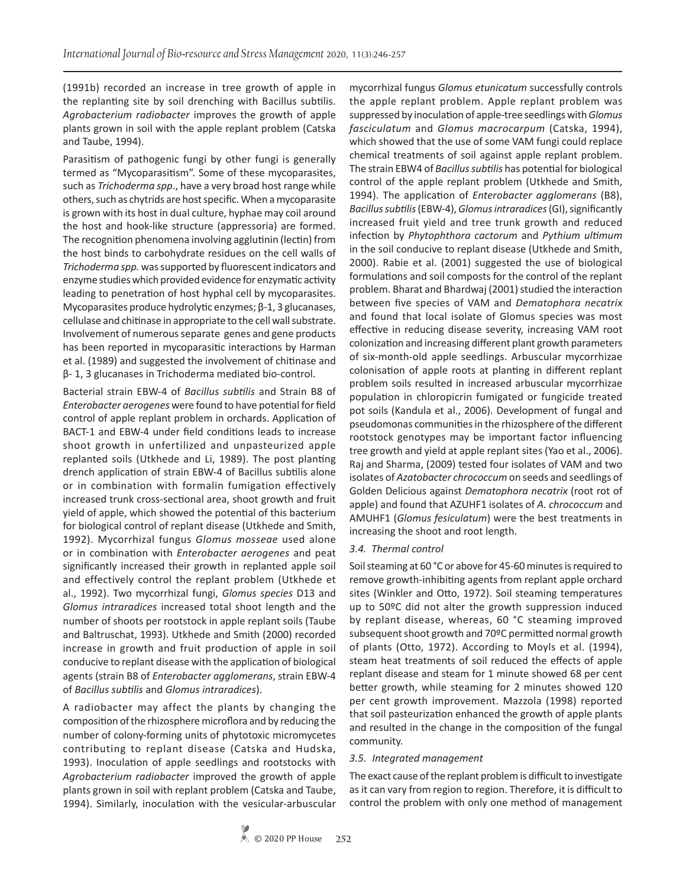(1991b) recorded an increase in tree growth of apple in the replanting site by soil drenching with Bacillus subtilis. *Agrobacterium radiobacter* improves the growth of apple plants grown in soil with the apple replant problem (Catska and Taube, 1994).

Parasitism of pathogenic fungi by other fungi is generally termed as "Mycoparasitism". Some of these mycoparasites, such as *Trichoderma spp*., have a very broad host range while others, such as chytrids are host specific. When a mycoparasite is grown with its host in dual culture, hyphae may coil around the host and hook-like structure (appressoria) are formed. The recognition phenomena involving agglutinin (lectin) from the host binds to carbohydrate residues on the cell walls of *Trichoderma spp.* was supported by fluorescent indicators and enzyme studies which provided evidence for enzymatic activity leading to penetration of host hyphal cell by mycoparasites. Mycoparasites produce hydrolytic enzymes; β-1, 3 glucanases, cellulase and chitinase in appropriate to the cell wall substrate. Involvement of numerous separate genes and gene products has been reported in mycoparasitic interactions by Harman et al. (1989) and suggested the involvement of chitinase and β- 1, 3 glucanases in Trichoderma mediated bio-control.

Bacterial strain EBW-4 of *Bacillus subtilis* and Strain B8 of *Enterobacter aerogenes* were found to have potential for field control of apple replant problem in orchards. Application of BACT-1 and EBW-4 under field conditions leads to increase shoot growth in unfertilized and unpasteurized apple replanted soils (Utkhede and Li, 1989). The post planting drench application of strain EBW-4 of Bacillus subtilis alone or in combination with formalin fumigation effectively increased trunk cross-sectional area, shoot growth and fruit yield of apple, which showed the potential of this bacterium for biological control of replant disease (Utkhede and Smith, 1992). Mycorrhizal fungus *Glomus mosseae* used alone or in combination with *Enterobacter aerogenes* and peat significantly increased their growth in replanted apple soil and effectively control the replant problem (Utkhede et al., 1992). Two mycorrhizal fungi, *Glomus species* D13 and *Glomus intraradices* increased total shoot length and the number of shoots per rootstock in apple replant soils (Taube and Baltruschat, 1993). Utkhede and Smith (2000) recorded increase in growth and fruit production of apple in soil conducive to replant disease with the application of biological agents (strain B8 of *Enterobacter agglomerans*, strain EBW-4 of *Bacillus subtilis* and *Glomus intraradices*).

A radiobacter may affect the plants by changing the composition of the rhizosphere microflora and by reducing the number of colony-forming units of phytotoxic micromycetes contributing to replant disease (Catska and Hudska, 1993). Inoculation of apple seedlings and rootstocks with *Agrobacterium radiobacter* improved the growth of apple plants grown in soil with replant problem (Catska and Taube, 1994). Similarly, inoculation with the vesicular-arbuscular

mycorrhizal fungus *Glomus etunicatum* successfully controls the apple replant problem. Apple replant problem was suppressed by inoculation of apple-tree seedlings with *Glomus fasciculatum* and *Glomus macrocarpum* (Catska, 1994), which showed that the use of some VAM fungi could replace chemical treatments of soil against apple replant problem. The strain EBW4 of *Bacillus subtilis* has potential for biological control of the apple replant problem (Utkhede and Smith, 1994). The application of *Enterobacter agglomerans* (B8), *Bacillus subtilis* (EBW-4), *Glomus intraradices* (GI), significantly increased fruit yield and tree trunk growth and reduced infection by *Phytophthora cactorum* and *Pythium ultimum* in the soil conducive to replant disease (Utkhede and Smith, 2000). Rabie et al. (2001) suggested the use of biological formulations and soil composts for the control of the replant problem. Bharat and Bhardwaj (2001) studied the interaction between five species of VAM and *Dematophora necatrix* and found that local isolate of Glomus species was most effective in reducing disease severity, increasing VAM root colonization and increasing different plant growth parameters of six-month-old apple seedlings. Arbuscular mycorrhizae colonisation of apple roots at planting in different replant problem soils resulted in increased arbuscular mycorrhizae population in chloropicrin fumigated or fungicide treated pot soils (Kandula et al., 2006). Development of fungal and pseudomonas communities in the rhizosphere of the different rootstock genotypes may be important factor influencing tree growth and yield at apple replant sites (Yao et al., 2006). Raj and Sharma, (2009) tested four isolates of VAM and two isolates of *Azatobacter chrococcum* on seeds and seedlings of Golden Delicious against *Dematophora necatrix* (root rot of apple) and found that AZUHF1 isolates of *A. chrococcum* and AMUHF1 (*Glomus fesiculatum*) were the best treatments in increasing the shoot and root length.

## *3.4. Thermal control*

Soil steaming at 60 °C or above for 45-60 minutes is required to remove growth-inhibiting agents from replant apple orchard sites (Winkler and Otto, 1972). Soil steaming temperatures up to 50ºC did not alter the growth suppression induced by replant disease, whereas, 60 °C steaming improved subsequent shoot growth and 70ºC permitted normal growth of plants (Otto, 1972). According to Moyls et al. (1994), steam heat treatments of soil reduced the effects of apple replant disease and steam for 1 minute showed 68 per cent better growth, while steaming for 2 minutes showed 120 per cent growth improvement. Mazzola (1998) reported that soil pasteurization enhanced the growth of apple plants and resulted in the change in the composition of the fungal community.

## *3.5. Integrated management*

The exact cause of the replant problem is difficult to investigate as it can vary from region to region. Therefore, it is difficult to control the problem with only one method of management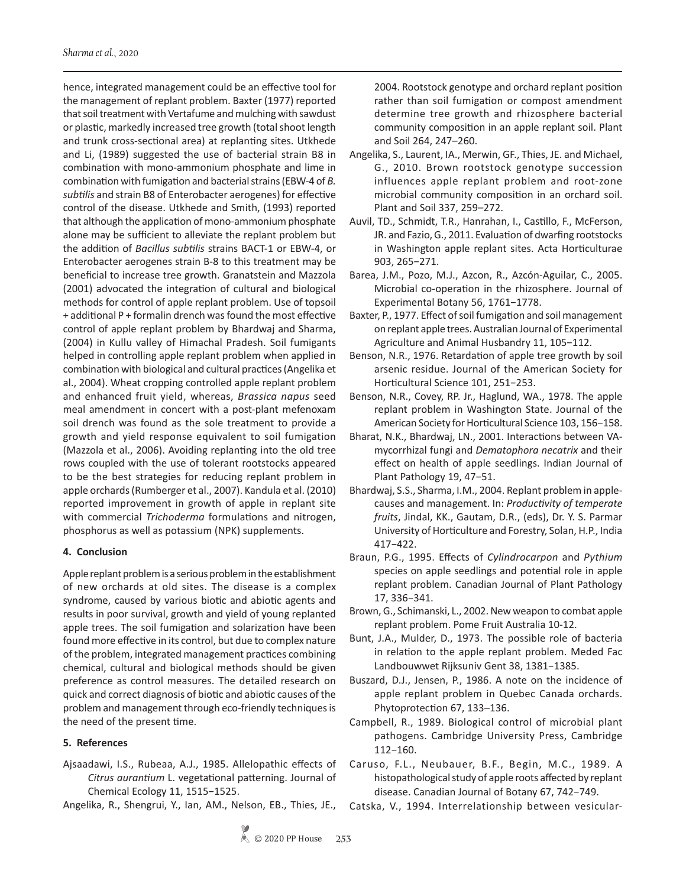hence, integrated management could be an effective tool for the management of replant problem. Baxter (1977) reported that soil treatment with Vertafume and mulching with sawdust or plastic, markedly increased tree growth (total shoot length and trunk cross-sectional area) at replanting sites. Utkhede and Li, (1989) suggested the use of bacterial strain B8 in combination with mono-ammonium phosphate and lime in combination with fumigation and bacterial strains (EBW-4 of *B. subtilis* and strain B8 of Enterobacter aerogenes) for effective control of the disease. Utkhede and Smith, (1993) reported that although the application of mono-ammonium phosphate alone may be sufficient to alleviate the replant problem but the addition of *Bacillus subtilis* strains BACT-1 or EBW-4, or Enterobacter aerogenes strain B-8 to this treatment may be beneficial to increase tree growth. Granatstein and Mazzola (2001) advocated the integration of cultural and biological methods for control of apple replant problem. Use of topsoil + additional P + formalin drench was found the most effective control of apple replant problem by Bhardwaj and Sharma, (2004) in Kullu valley of Himachal Pradesh. Soil fumigants helped in controlling apple replant problem when applied in combination with biological and cultural practices (Angelika et al., 2004). Wheat cropping controlled apple replant problem and enhanced fruit yield, whereas, *Brassica napus* seed meal amendment in concert with a post-plant mefenoxam soil drench was found as the sole treatment to provide a growth and yield response equivalent to soil fumigation (Mazzola et al., 2006). Avoiding replanting into the old tree rows coupled with the use of tolerant rootstocks appeared to be the best strategies for reducing replant problem in apple orchards (Rumberger et al., 2007). Kandula et al. (2010) reported improvement in growth of apple in replant site with commercial *Trichoderma* formulations and nitrogen, phosphorus as well as potassium (NPK) supplements.

## **4. Conclusion**

Apple replant problem is a serious problem in the establishment of new orchards at old sites. The disease is a complex syndrome, caused by various biotic and abiotic agents and results in poor survival, growth and yield of young replanted apple trees. The soil fumigation and solarization have been found more effective in its control, but due to complex nature of the problem, integrated management practices combining chemical, cultural and biological methods should be given preference as control measures. The detailed research on quick and correct diagnosis of biotic and abiotic causes of the problem and management through eco-friendly techniques is the need of the present time.

## **5. References**

Ajsaadawi, I.S., Rubeaa, A.J., 1985. Allelopathic effects of *Citrus aurantium* L. vegetational patterning. Journal of Chemical Ecology 11, 1515−1525.

Angelika, R., Shengrui, Y., Ian, AM., Nelson, EB., Thies, JE.,

2004. Rootstock genotype and orchard replant position rather than soil fumigation or compost amendment determine tree growth and rhizosphere bacterial community composition in an apple replant soil. Plant and Soil 264, 247–260.

- Angelika, S., Laurent, IA., Merwin, GF., Thies, JE. and Michael, G., 2010. Brown rootstock genotype succession influences apple replant problem and root-zone microbial community composition in an orchard soil. Plant and Soil 337, 259–272.
- Auvil, TD., Schmidt, T.R., Hanrahan, I., Castillo, F., McFerson, JR. and Fazio, G., 2011. Evaluation of dwarfing rootstocks in Washington apple replant sites. Acta Horticulturae 903, 265−271.
- Barea, J.M., Pozo, M.J., Azcon, R., Azcón-Aguilar, C., 2005. Microbial co-operation in the rhizosphere. Journal of Experimental Botany 56, 1761−1778.
- Baxter, P., 1977. Effect of soil fumigation and soil management on replant apple trees. Australian Journal of Experimental Agriculture and Animal Husbandry 11, 105−112.
- Benson, N.R., 1976. Retardation of apple tree growth by soil arsenic residue. Journal of the American Society for Horticultural Science 101, 251−253.
- Benson, N.R., Covey, RP. Jr., Haglund, WA., 1978. The apple replant problem in Washington State. Journal of the American Society for Horticultural Science 103, 156−158.
- Bharat, N.K., Bhardwaj, LN., 2001. Interactions between VAmycorrhizal fungi and *Dematophora necatrix* and their effect on health of apple seedlings. Indian Journal of Plant Pathology 19, 47−51.
- Bhardwaj, S.S., Sharma, I.M., 2004. Replant problem in applecauses and management. In: *Productivity of temperate fruits*, Jindal, KK., Gautam, D.R., (eds), Dr. Y. S. Parmar University of Horticulture and Forestry, Solan, H.P., India 417−422.
- Braun, P.G., 1995. Effects of *Cylindrocarpon* and *Pythium*  species on apple seedlings and potential role in apple replant problem. Canadian Journal of Plant Pathology 17, 336−341.
- Brown, G., Schimanski, L., 2002. New weapon to combat apple replant problem. Pome Fruit Australia 10-12.
- Bunt, J.A., Mulder, D., 1973. The possible role of bacteria in relation to the apple replant problem. Meded Fac Landbouwwet Rijksuniv Gent 38, 1381−1385.
- Buszard, D.J., Jensen, P., 1986. A note on the incidence of apple replant problem in Quebec Canada orchards. Phytoprotection 67, 133–136.
- Campbell, R., 1989. Biological control of microbial plant pathogens. Cambridge University Press, Cambridge 112−160.
- Caruso, F.L., Neubauer, B.F., Begin, M.C., 1989. A histopathological study of apple roots affected by replant disease. Canadian Journal of Botany 67, 742−749.
- Catska, V., 1994. Interrelationship between vesicular-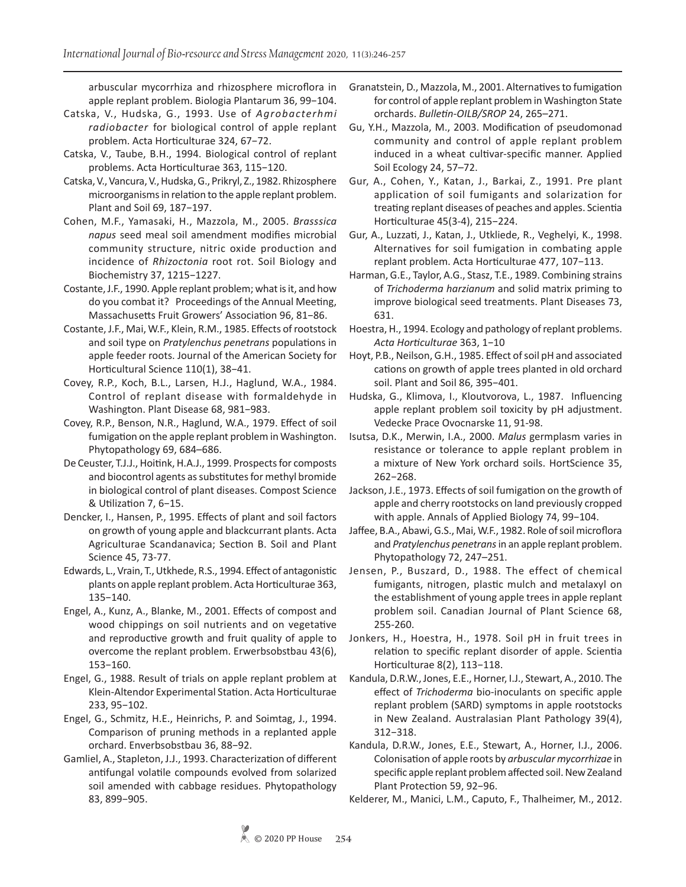arbuscular mycorrhiza and rhizosphere microflora in apple replant problem. Biologia Plantarum 36, 99−104.

- Catska, V., Hudska, G., 1993. Use of *Agrobacterhmi radiobacter* for biological control of apple replant problem. Acta Horticulturae 324, 67−72.
- Catska, V., Taube, B.H., 1994. Biological control of replant problems. Acta Horticulturae 363, 115−120.
- Catska, V., Vancura, V., Hudska, G., Prikryl, Z., 1982. Rhizosphere microorganisms in relation to the apple replant problem. Plant and Soil 69, 187−197.
- Cohen, M.F., Yamasaki, H., Mazzola, M., 2005. *Brasssica napus* seed meal soil amendment modifies microbial community structure, nitric oxide production and incidence of *Rhizoctonia* root rot. Soil Biology and Biochemistry 37, 1215−1227.
- Costante, J.F., 1990. Apple replant problem; what is it, and how do you combat it? Proceedings of the Annual Meeting, Massachusetts Fruit Growers' Association 96, 81−86.
- Costante, J.F., Mai, W.F., Klein, R.M., 1985. Effects of rootstock and soil type on *Pratylenchus penetrans* populations in apple feeder roots. Journal of the American Society for Horticultural Science 110(1), 38−41.
- Covey, R.P., Koch, B.L., Larsen, H.J., Haglund, W.A., 1984. Control of replant disease with formaldehyde in Washington. Plant Disease 68, 981−983.
- Covey, R.P., Benson, N.R., Haglund, W.A., 1979. Effect of soil fumigation on the apple replant problem in Washington. Phytopathology 69, 684–686.
- De Ceuster, T.J.J., Hoitink, H.A.J., 1999. Prospects for composts and biocontrol agents as substitutes for methyl bromide in biological control of plant diseases. Compost Science & Utilization 7, 6−15.
- Dencker, I., Hansen, P., 1995. Effects of plant and soil factors on growth of young apple and blackcurrant plants. Acta Agriculturae Scandanavica; Section B. Soil and Plant Science 45, 73-77.
- Edwards, L., Vrain, T., Utkhede, R.S., 1994. Effect of antagonistic plants on apple replant problem. Acta Horticulturae 363, 135−140.
- Engel, A., Kunz, A., Blanke, M., 2001. Effects of compost and wood chippings on soil nutrients and on vegetative and reproductive growth and fruit quality of apple to overcome the replant problem. Erwerbsobstbau 43(6), 153−160.
- Engel, G., 1988. Result of trials on apple replant problem at Klein-Altendor Experimental Station. Acta Horticulturae 233, 95−102.
- Engel, G., Schmitz, H.E., Heinrichs, P. and Soimtag, J., 1994. Comparison of pruning methods in a replanted apple orchard. Enverbsobstbau 36, 88−92.
- Gamliel, A., Stapleton, J.J., 1993. Characterization of different antifungal volatile compounds evolved from solarized soil amended with cabbage residues. Phytopathology 83, 899−905.
- Granatstein, D., Mazzola, M., 2001. Alternatives to fumigation for control of apple replant problem in Washington State orchards. *Bulletin-OILB/SROP* 24, 265–271.
- Gu, Y.H., Mazzola, M., 2003. Modification of pseudomonad community and control of apple replant problem induced in a wheat cultivar-specific manner. Applied Soil Ecology 24, 57–72.
- Gur, A., Cohen, Y., Katan, J., Barkai, Z., 1991. Pre plant application of soil fumigants and solarization for treating replant diseases of peaches and apples. Scientia Horticulturae 45(3-4), 215−224.
- Gur, A., Luzzati, J., Katan, J., Utkliede, R., Veghelyi, K., 1998. Alternatives for soil fumigation in combating apple replant problem. Acta Horticulturae 477, 107−113.
- Harman, G.E., Taylor, A.G., Stasz, T.E., 1989. Combining strains of *Trichoderma harzianum* and solid matrix priming to improve biological seed treatments. Plant Diseases 73, 631.
- Hoestra, H., 1994. Ecology and pathology of replant problems. *Acta Horticulturae* 363, 1−10
- Hoyt, P.B., Neilson, G.H., 1985. Effect of soil pH and associated cations on growth of apple trees planted in old orchard soil. Plant and Soil 86, 395−401.
- Hudska, G., Klimova, I., Kloutvorova, L., 1987. Influencing apple replant problem soil toxicity by pH adjustment. Vedecke Prace Ovocnarske 11, 91-98.
- Isutsa, D.K., Merwin, I.A., 2000. *Malus* germplasm varies in resistance or tolerance to apple replant problem in a mixture of New York orchard soils. HortScience 35, 262−268.
- Jackson, J.E., 1973. Effects of soil fumigation on the growth of apple and cherry rootstocks on land previously cropped with apple. Annals of Applied Biology 74, 99−104.
- Jaffee, B.A., Abawi, G.S., Mai, W.F., 1982. Role of soil microflora and *Pratylenchus penetrans* in an apple replant problem. Phytopathology 72, 247–251.
- Jensen, P., Buszard, D., 1988. The effect of chemical fumigants, nitrogen, plastic mulch and metalaxyl on the establishment of young apple trees in apple replant problem soil. Canadian Journal of Plant Science 68, 255-260.
- Jonkers, H., Hoestra, H., 1978. Soil pH in fruit trees in relation to specific replant disorder of apple. Scientia Horticulturae 8(2), 113−118.
- Kandula, D.R.W., Jones, E.E., Horner, I.J., Stewart, A., 2010. The effect of *Trichoderma* bio-inoculants on specific apple replant problem (SARD) symptoms in apple rootstocks in New Zealand. Australasian Plant Pathology 39(4), 312−318.
- Kandula, D.R.W., Jones, E.E., Stewart, A., Horner, I.J., 2006. Colonisation of apple roots by *arbuscular mycorrhizae* in specific apple replant problem affected soil. New Zealand Plant Protection 59, 92−96.
- Kelderer, M., Manici, L.M., Caputo, F., Thalheimer, M., 2012.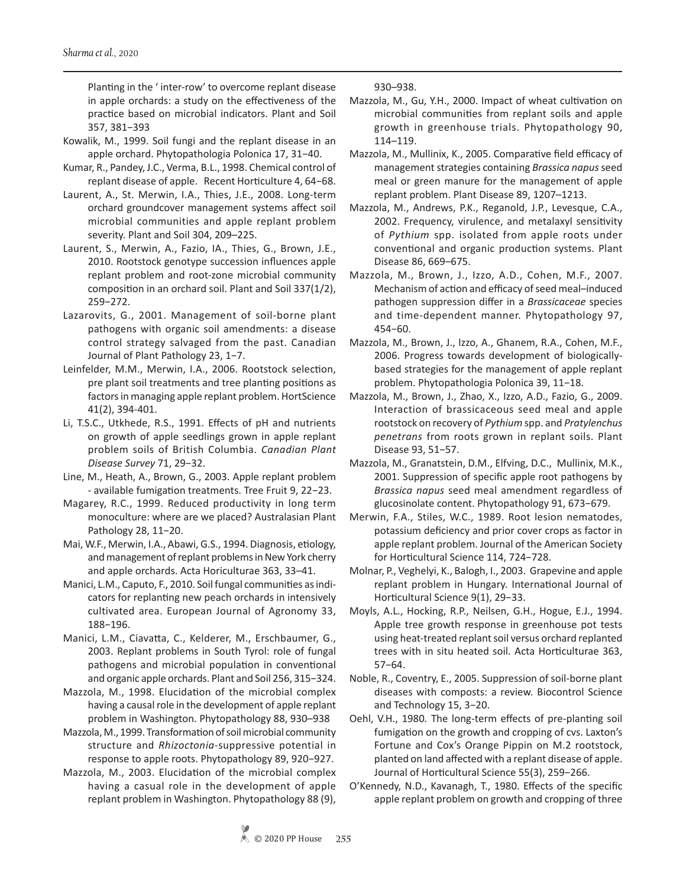Planting in the ' inter-row' to overcome replant disease in apple orchards: a study on the effectiveness of the practice based on microbial indicators. Plant and Soil 357, 381−393

- Kowalik, M., 1999. Soil fungi and the replant disease in an apple orchard. Phytopathologia Polonica 17, 31−40.
- Kumar, R., Pandey, J.C., Verma, B.L., 1998. Chemical control of replant disease of apple. Recent Horticulture 4, 64−68.
- Laurent, A., St. Merwin, I.A., Thies, J.E., 2008. Long-term orchard groundcover management systems affect soil microbial communities and apple replant problem severity. Plant and Soil 304, 209–225.
- Laurent, S., Merwin, A., Fazio, IA., Thies, G., Brown, J.E., 2010. Rootstock genotype succession influences apple replant problem and root-zone microbial community composition in an orchard soil. Plant and Soil 337(1/2), 259−272.
- Lazarovits, G., 2001. Management of soil-borne plant pathogens with organic soil amendments: a disease control strategy salvaged from the past. Canadian Journal of Plant Pathology 23, 1−7.
- Leinfelder, M.M., Merwin, I.A., 2006. Rootstock selection, pre plant soil treatments and tree planting positions as factors in managing apple replant problem. HortScience 41(2), 394-401.
- Li, T.S.C., Utkhede, R.S., 1991. Effects of pH and nutrients on growth of apple seedlings grown in apple replant problem soils of British Columbia. *Canadian Plant Disease Survey* 71, 29−32.
- Line, M., Heath, A., Brown, G., 2003. Apple replant problem - available fumigation treatments. Tree Fruit 9, 22−23.
- Magarey, R.C., 1999. Reduced productivity in long term monoculture: where are we placed? Australasian Plant Pathology 28, 11−20.
- Mai, W.F., Merwin, I.A., Abawi, G.S., 1994. Diagnosis, etiology, and management of replant problems in New York cherry and apple orchards. Acta Horiculturae 363, 33–41.
- Manici, L.M., Caputo, F., 2010. Soil fungal communities as indicators for replanting new peach orchards in intensively cultivated area. European Journal of Agronomy 33, 188−196.
- Manici, L.M., Ciavatta, C., Kelderer, M., Erschbaumer, G., 2003. Replant problems in South Tyrol: role of fungal pathogens and microbial population in conventional and organic apple orchards. Plant and Soil 256, 315−324.
- Mazzola, M., 1998. Elucidation of the microbial complex having a causal role in the development of apple replant problem in Washington. Phytopathology 88, 930–938
- Mazzola, M., 1999. Transformation of soil microbial community structure and *Rhizoctonia*-suppressive potential in response to apple roots. Phytopathology 89, 920−927.
- Mazzola, M., 2003. Elucidation of the microbial complex having a casual role in the development of apple replant problem in Washington. Phytopathology 88 (9),

930–938.

- Mazzola, M., Gu, Y.H., 2000. Impact of wheat cultivation on microbial communities from replant soils and apple growth in greenhouse trials. Phytopathology 90, 114–119.
- Mazzola, M., Mullinix, K., 2005. Comparative field efficacy of management strategies containing *Brassica napus* seed meal or green manure for the management of apple replant problem. Plant Disease 89, 1207–1213.
- Mazzola, M., Andrews, P.K., Reganold, J.P., Levesque, C.A., 2002. Frequency, virulence, and metalaxyl sensitivity of *Pythium* spp. isolated from apple roots under conventional and organic production systems. Plant Disease 86, 669–675.
- Mazzola, M., Brown, J., Izzo, A.D., Cohen, M.F., 2007. Mechanism of action and efficacy of seed meal–induced pathogen suppression differ in a *Brassicaceae* species and time-dependent manner. Phytopathology 97, 454−60.
- Mazzola, M., Brown, J., Izzo, A., Ghanem, R.A., Cohen, M.F., 2006. Progress towards development of biologicallybased strategies for the management of apple replant problem. Phytopathologia Polonica 39, 11−18.
- Mazzola, M., Brown, J., Zhao, X., Izzo, A.D., Fazio, G., 2009. Interaction of brassicaceous seed meal and apple rootstock on recovery of *Pythium* spp. and *Pratylenchus penetrans* from roots grown in replant soils. Plant Disease 93, 51−57.
- Mazzola, M., Granatstein, D.M., Elfving, D.C., Mullinix, M.K., 2001. Suppression of specific apple root pathogens by *Brassica napus* seed meal amendment regardless of glucosinolate content. Phytopathology 91, 673−679.
- Merwin, F.A., Stiles, W.C., 1989. Root lesion nematodes, potassium deficiency and prior cover crops as factor in apple replant problem. Journal of the American Society for Horticultural Science 114, 724−728.
- Molnar, P., Veghelyi, K., Balogh, I., 2003. Grapevine and apple replant problem in Hungary. International Journal of Horticultural Science 9(1), 29−33.
- Moyls, A.L., Hocking, R.P., Neilsen, G.H., Hogue, E.J., 1994. Apple tree growth response in greenhouse pot tests using heat-treated replant soil versus orchard replanted trees with in situ heated soil. Acta Horticulturae 363, 57−64.
- Noble, R., Coventry, E., 2005. Suppression of soil-borne plant diseases with composts: a review. Biocontrol Science and Technology 15, 3−20.
- Oehl, V.H., 1980*.* The long-term effects of pre-planting soil fumigation on the growth and cropping of cvs. Laxton's Fortune and Cox's Orange Pippin on M.2 rootstock, planted on land affected with a replant disease of apple. Journal of Horticultural Science 55(3), 259−266.
- O'Kennedy, N.D., Kavanagh, T., 1980. Effects of the specific apple replant problem on growth and cropping of three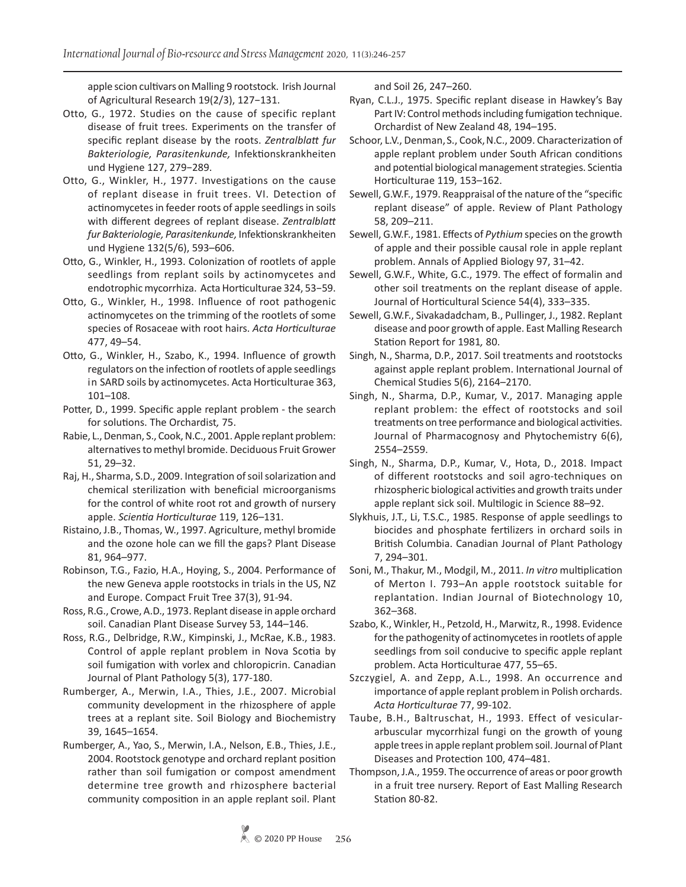apple scion cultivars on Malling 9 rootstock. Irish Journal of Agricultural Research 19(2/3), 127−131.

- Otto, G., 1972. Studies on the cause of specific replant disease of fruit trees. Experiments on the transfer of specific replant disease by the roots. *Zentralblatt fur Bakteriologie, Parasitenkunde,* Infektionskrankheiten und Hygiene 127, 279−289.
- Otto, G., Winkler, H., 1977. Investigations on the cause of replant disease in fruit trees. VI. Detection of actinomycetes in feeder roots of apple seedlings in soils with different degrees of replant disease. *Zentralblatt fur Bakteriologie, Parasitenkunde,* Infektionskrankheiten und Hygiene 132(5/6), 593–606.
- Otto, G., Winkler, H., 1993. Colonization of rootlets of apple seedlings from replant soils by actinomycetes and endotrophic mycorrhiza. Acta Horticulturae 324, 53−59.
- Otto, G., Winkler, H., 1998. Influence of root pathogenic actinomycetes on the trimming of the rootlets of some species of Rosaceae with root hairs. *Acta Horticulturae*  477, 49–54.
- Otto, G., Winkler, H., Szabo, K., 1994. Influence of growth regulators on the infection of rootlets of apple seedlings in SARD soils by actinomycetes. Acta Horticulturae 363, 101–108.
- Potter, D., 1999. Specific apple replant problem the search for solutions. The Orchardist*,* 75.
- Rabie, L., Denman, S., Cook, N.C., 2001. Apple replant problem: alternatives to methyl bromide. Deciduous Fruit Grower 51, 29–32.
- Raj, H., Sharma, S.D., 2009. Integration of soil solarization and chemical sterilization with beneficial microorganisms for the control of white root rot and growth of nursery apple. *Scientia Horticulturae* 119, 126–131.
- Ristaino, J.B., Thomas, W., 1997. Agriculture, methyl bromide and the ozone hole can we fill the gaps? Plant Disease 81, 964–977.
- Robinson, T.G., Fazio, H.A., Hoying, S., 2004. Performance of the new Geneva apple rootstocks in trials in the US, NZ and Europe. Compact Fruit Tree 37(3), 91-94.
- Ross, R.G., Crowe, A.D., 1973. Replant disease in apple orchard soil. Canadian Plant Disease Survey 53, 144–146.
- Ross, R.G., Delbridge, R.W., Kimpinski, J., McRae, K.B., 1983. Control of apple replant problem in Nova Scotia by soil fumigation with vorlex and chloropicrin. Canadian Journal of Plant Pathology 5(3), 177-180.
- Rumberger, A., Merwin, I.A., Thies, J.E., 2007. Microbial community development in the rhizosphere of apple trees at a replant site. Soil Biology and Biochemistry 39, 1645–1654.
- Rumberger, A., Yao, S., Merwin, I.A., Nelson, E.B., Thies, J.E., 2004. Rootstock genotype and orchard replant position rather than soil fumigation or compost amendment determine tree growth and rhizosphere bacterial community composition in an apple replant soil. Plant

and Soil 26, 247–260.

- Ryan, C.L.J., 1975. Specific replant disease in Hawkey's Bay Part IV: Control methods including fumigation technique. Orchardist of New Zealand 48, 194–195.
- Schoor, L.V., Denman, S., Cook, N.C., 2009. Characterization of apple replant problem under South African conditions and potential biological management strategies. Scientia Horticulturae 119, 153–162.
- Sewell, G.W.F., 1979. Reappraisal of the nature of the "specific replant disease" of apple. Review of Plant Pathology 58, 209–211.
- Sewell, G.W.F., 1981. Effects of *Pythium* species on the growth of apple and their possible causal role in apple replant problem. Annals of Applied Biology 97, 31–42.
- Sewell, G.W.F., White, G.C., 1979. The effect of formalin and other soil treatments on the replant disease of apple. Journal of Horticultural Science 54(4), 333–335.
- Sewell, G.W.F., Sivakadadcham, B., Pullinger, J., 1982. Replant disease and poor growth of apple. East Malling Research Station Report for 1981*,* 80.
- Singh, N., Sharma, D.P., 2017. Soil treatments and rootstocks against apple replant problem. International Journal of Chemical Studies 5(6), 2164–2170.
- Singh, N., Sharma, D.P., Kumar, V., 2017. Managing apple replant problem: the effect of rootstocks and soil treatments on tree performance and biological activities. Journal of Pharmacognosy and Phytochemistry 6(6), 2554–2559.
- Singh, N., Sharma, D.P., Kumar, V., Hota, D., 2018. Impact of different rootstocks and soil agro-techniques on rhizospheric biological activities and growth traits under apple replant sick soil. Multilogic in Science 88–92.
- Slykhuis, J.T., Li, T.S.C., 1985. Response of apple seedlings to biocides and phosphate fertilizers in orchard soils in British Columbia. Canadian Journal of Plant Pathology 7, 294–301.
- Soni, M., Thakur, M., Modgil, M., 2011. *In vitro* multiplication of Merton I. 793–An apple rootstock suitable for replantation. Indian Journal of Biotechnology 10, 362–368.
- Szabo, K., Winkler, H., Petzold, H., Marwitz, R., 1998. Evidence for the pathogenity of actinomycetes in rootlets of apple seedlings from soil conducive to specific apple replant problem. Acta Horticulturae 477, 55–65.
- Szczygiel, A. and Zepp, A.L., 1998. An occurrence and importance of apple replant problem in Polish orchards. *Acta Horticulturae* 77, 99-102.
- Taube, B.H., Baltruschat, H., 1993. Effect of vesiculararbuscular mycorrhizal fungi on the growth of young apple trees in apple replant problem soil. Journal of Plant Diseases and Protection 100, 474–481.
- Thompson, J.A., 1959. The occurrence of areas or poor growth in a fruit tree nursery. Report of East Malling Research Station 80-82.